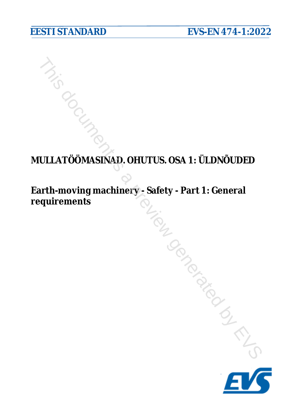# **MULLATÖÖMASINAD. OHUTUS. OSA 1: ÜLDNÕUDED**

# **Earth-moving machinery - Safety - Part 1: General representation of the Community Control Community Control Community Control Community Control Community Community Community Community Community Community Community Community Community Community Community Community Communi**

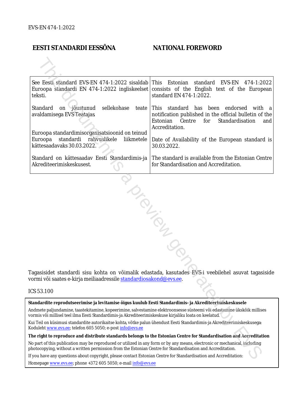### **EESTI STANDARDI EESSÕNA NATIONAL FOREWORD**

| See Eesti standard EVS-EN 474-1:2022 sisaldab This Estonian<br>teksti.                                                                                                                                             | standard<br>EVS-EN<br>474-1:2022<br>Euroopa standardi EN 474-1:2022 ingliskeelset consists of the English text of the European<br>standard EN 474-1:2022.                                                                                    |
|--------------------------------------------------------------------------------------------------------------------------------------------------------------------------------------------------------------------|----------------------------------------------------------------------------------------------------------------------------------------------------------------------------------------------------------------------------------------------|
| sellekohase<br>Standard<br>on jõustunud<br>teate  <br>avaldamisega EVS Teatajas<br>Euroopa standardimisorganisatsioonid on teinud<br>standardi rahvuslikele<br>Euroopa<br>liikmetele<br>kättesaadavaks 30.03.2022. | This standard has been endorsed with a<br>notification published in the official bulletin of the<br>Estonian<br>Centre<br>for<br>Standardisation<br>and<br>Accreditation.<br>Date of Availability of the European standard is<br>30.03.2022. |
| Standard on kättesaadav Eesti Standardimis-ja<br>Akrediteerimiskeskusest.                                                                                                                                          | The standard is available from the Estonian Centre<br>for Standardisation and Accreditation.                                                                                                                                                 |
|                                                                                                                                                                                                                    | <b>PLICATION</b>                                                                                                                                                                                                                             |

Tagasisidet standardi sisu kohta on võimalik edastada, kasutades EVS-i veebilehel asuvat tagasiside vormi või saates e-kirja meiliaadressile standardiosakond@evs.ee.

### ICS 53.100

**Standardite reprodutseerimise ja levitamise õigus kuulub Eesti Standardimis- ja Akrediteerimiskeskusele**

Andmete paljundamine, taastekitamine, kopeerimine, salvestamine elektroonsesse süsteemi või edastamine ükskõik millises vormis või millisel teel ilma Eesti Standardimis-ja Akrediteerimiskeskuse kirjaliku loata on keelatud.

Kui Teil on küsimusi standardite autorikaitse kohta, võtke palun ühendust Eesti Standardimis-ja Akrediteerimiskeskusega: Koduleht www.evs.ee; telefon 605 5050; e-post info@evs.ee

**The right to reproduce and distribute standards belongs to the Estonian Centre for Standardisation and Accreditation** No part of this publication may be reproduced or utilized in any form or by any means, electronic or mechanical, including photocopying, without a written permission from the Estonian Centre for Standardisation and Accreditation.

If you have any questions about copyright, please contact Estonian Centre for Standardisation and Accreditation:

Homepage [www.evs.ee](http://www.evs.ee/); phone +372 605 5050; e-mail info@evs.ee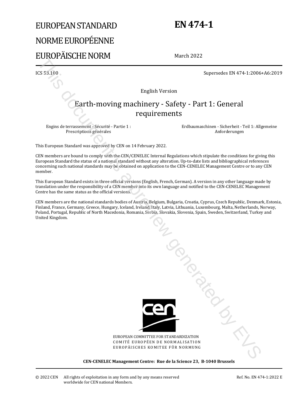# EUROPEAN STANDARD NORME EUROPÉENNE EUROPÄISCHE NORM

# **EN 474-1**

March 2022

ICS 53.100 Supersedes EN 474-1:2006+A6:2019

English Version

### Earth-moving machinery - Safety - Part 1: General requirements

Engins de terrassement - Sécurité - Partie 1 : Prescriptions générales

 Erdbaumaschinen - Sicherheit - Teil 1: Allgemeine Anforderungen

This European Standard was approved by CEN on 14 February 2022.

CEN members are bound to comply with the CEN/CENELEC Internal Regulations which stipulate the conditions for giving this European Standard the status of a national standard without any alteration. Up-to-date lists and bibliographical references concerning such national standards may be obtained on application to the CEN-CENELEC Management Centre or to any CEN member.

This European Standard exists in three official versions (English, French, German). A version in any other language made by translation under the responsibility of a CEN member into its own language and notified to the CEN-CENELEC Management Centre has the same status as the official versions.

CEN members are the national standards bodies of Austria, Belgium, Bulgaria, Croatia, Cyprus, Czech Republic, Denmark, Estonia, Finland, France, Germany, Greece, Hungary, Iceland, Ireland, Italy, Latvia, Lithuania, Luxembourg, Malta, Netherlands, Norway, Poland, Portugal, Republic of North Macedonia, Romania, Serbia, Slovakia, Slovenia, Spain, Sweden, Switzerland, Turkey and United Kingdom.



EUROPEAN COMMITTEE FOR STANDARDIZATION COMITÉ EUROPÉEN DE NORMALISATION EUROPÄISCHES KOMITEE FÜR NORMUNG To document is a previously

**CEN-CENELEC Management Centre: Rue de la Science 23, B-1040 Brussels**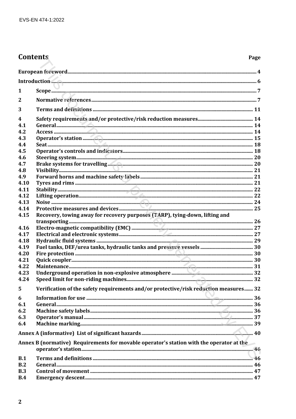## **Contents**

| $\mathbf{1}$     |                                                                                          |  |
|------------------|------------------------------------------------------------------------------------------|--|
| $\overline{2}$   |                                                                                          |  |
| 3                |                                                                                          |  |
| $\boldsymbol{4}$ |                                                                                          |  |
| 4.1              |                                                                                          |  |
| 4.2              |                                                                                          |  |
| 4.3              |                                                                                          |  |
| 4.4              |                                                                                          |  |
| 4.5              |                                                                                          |  |
| 4.6              |                                                                                          |  |
| 4.7              |                                                                                          |  |
| 4.8              |                                                                                          |  |
| 4.9              |                                                                                          |  |
| 4.10             |                                                                                          |  |
| 4.11             |                                                                                          |  |
| 4.12             |                                                                                          |  |
| 4.13             |                                                                                          |  |
| 4.14             |                                                                                          |  |
| 4.15             | Recovery, towing away for recovery purposes (TARP), tying-down, lifting and              |  |
|                  |                                                                                          |  |
| 4.16             |                                                                                          |  |
| 4.17             |                                                                                          |  |
| 4.18             |                                                                                          |  |
| 4.19             |                                                                                          |  |
| 4.20             |                                                                                          |  |
| 4.21             |                                                                                          |  |
| 4.22             |                                                                                          |  |
| 4.23             |                                                                                          |  |
| 4.24             |                                                                                          |  |
| 5                | Verification of the safety requirements and/or protective/risk reduction measures 32     |  |
| 6                |                                                                                          |  |
| 6.1              |                                                                                          |  |
| 6.2              |                                                                                          |  |
| 6.3              |                                                                                          |  |
| 6.4              |                                                                                          |  |
|                  |                                                                                          |  |
|                  | Annex B (normative) Requirements for movable operator's station with the operator at the |  |
|                  |                                                                                          |  |
|                  |                                                                                          |  |
| B.1              |                                                                                          |  |
| B.2              |                                                                                          |  |
| B.3              |                                                                                          |  |
| B.4              |                                                                                          |  |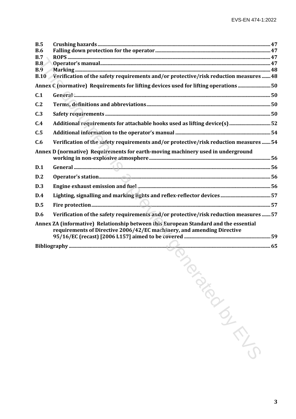| B.5        |                                                                                                                                                                |  |
|------------|----------------------------------------------------------------------------------------------------------------------------------------------------------------|--|
| <b>B.6</b> |                                                                                                                                                                |  |
| B.7        |                                                                                                                                                                |  |
| B.8<br>B.9 |                                                                                                                                                                |  |
| B.10       | Verification of the safety requirements and/or protective/risk reduction measures  48                                                                          |  |
|            | Annex C (normative) Requirements for lifting devices used for lifting operations 50                                                                            |  |
| C.1        |                                                                                                                                                                |  |
| C.2        |                                                                                                                                                                |  |
| C.3        |                                                                                                                                                                |  |
| C.4        | Additional requirements for attachable hooks used as lifting device(s) 52                                                                                      |  |
| C.5        |                                                                                                                                                                |  |
| C.6        | Verification of the safety requirements and/or protective/risk reduction measures  54                                                                          |  |
|            | Annex D (normative) Requirements for earth-moving machinery used in underground                                                                                |  |
| D.1        |                                                                                                                                                                |  |
| D.2        |                                                                                                                                                                |  |
| D.3        |                                                                                                                                                                |  |
| D.4        |                                                                                                                                                                |  |
| D.5        |                                                                                                                                                                |  |
| D.6        | Verification of the safety requirements and/or protective/risk reduction measures  57                                                                          |  |
|            | Annex ZA (informative) Relationship between this European Standard and the essential<br>requirements of Directive 2006/42/EC machinery, and amending Directive |  |
|            |                                                                                                                                                                |  |
|            |                                                                                                                                                                |  |
|            | $\infty$                                                                                                                                                       |  |
|            |                                                                                                                                                                |  |
|            |                                                                                                                                                                |  |
|            |                                                                                                                                                                |  |
|            |                                                                                                                                                                |  |
|            |                                                                                                                                                                |  |
|            |                                                                                                                                                                |  |
|            |                                                                                                                                                                |  |
|            |                                                                                                                                                                |  |
|            | TON BIGICS                                                                                                                                                     |  |
|            |                                                                                                                                                                |  |
|            |                                                                                                                                                                |  |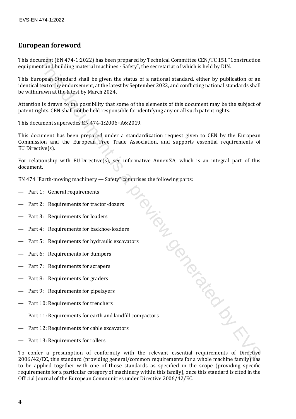### **European foreword**

This document (EN 474-1:2022) has been prepared by Technical Committee CEN/TC 151 "Construction equipment and building material machines - Safety", the secretariat of which is held by DIN.

This European Standard shall be given the status of a national standard, either by publication of an identical text or by endorsement, at the latest by September 2022, and conflicting national standards shall be withdrawn at the latest by March 2024.

Attention is drawn to the possibility that some of the elements of this document may be the subject of patent rights. CEN shall not be held responsible for identifying any or all such patent rights.

This document supersedes EN 474-1:2006+A6:2019.

This document has been prepared under a standardization request given to CEN by the European Commission and the European Free Trade Association, and supports essential requirements of EU Directive(s).

For relationship with EU Directive(s), see informative Annex ZA, which is an integral part of this document.

EN 474 "Earth-moving machinery — Safety" comprises the following parts: Triated by Conductor

- Part 1: General requirements
- Part 2: Requirements for tractor-dozers
- Part 3: Requirements for loaders
- Part 4: Requirements for backhoe-loaders
- Part 5: Requirements for hydraulic excavators
- Part 6: Requirements for dumpers
- Part 7: Requirements for scrapers
- Part 8: Requirements for graders
- Part 9: Requirements for pipelayers
- Part 10: Requirements for trenchers
- Part 11: Requirements for earth and landfill compactors
- Part 12: Requirements for cable excavators
- Part 13: Requirements for rollers

To confer a presumption of conformity with the relevant essential requirements of Directive 2006/42/EC, this standard (providing general/common requirements for a whole machine family) has to be applied together with one of those standards as specified in the scope (providing specific requirements for a particular category of machinery within this family), once this standard is cited in the Official Journal of the European Communities under Directive 2006/42/EC.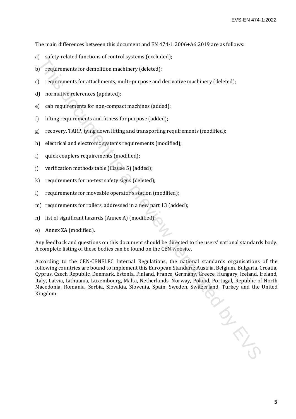The main differences between this document and EN 474-1:2006+A6:2019 are as follows:

- a) safety-related functions of control systems (excluded);
- b) requirements for demolition machinery (deleted);
- c) requirements for attachments, multi-purpose and derivative machinery (deleted);
- d) normative references (updated);
- e) cab requirements for non-compact machines (added);
- f) lifting requirements and fitness for purpose (added);
- g) recovery, TARP, tying down lifting and transporting requirements (modified);
- h) electrical and electronic systems requirements (modified);
- i) quick couplers requirements (modified):
- j) verification methods table (Clause 5) (added);
- k) requirements for no-text safety signs (deleted);
- l) requirements for moveable operator's station (modified);
- m) requirements for rollers, addressed in a new part 13 (added);
- n) list of significant hazards (Annex A) (modified);
- o) Annex ZA (modified).

Any feedback and questions on this document should be directed to the users' national standards body. A complete listing of these bodies can be found on the CEN website.

According to the CEN-CENELEC Internal Regulations, the national standards organisations of the following countries are bound to implement this European Standard: Austria, Belgium, Bulgaria, Croatia, Cyprus, Czech Republic, Denmark, Estonia, Finland, France, Germany, Greece, Hungary, Iceland, Ireland, Italy, Latvia, Lithuania, Luxembourg, Malta, Netherlands, Norway, Poland, Portugal, Republic of North Macedonia, Romania, Serbia, Slovakia, Slovenia, Spain, Sweden, Switzerland, Turkey and the United Kingdom. The state controllers in tunities systems (extinate);<br>
The propresents for denotion machinery (deleted);<br>
The propresents for attachments, multi-purpose and derivative machinery (deleted);<br>
1) requirements for attachments,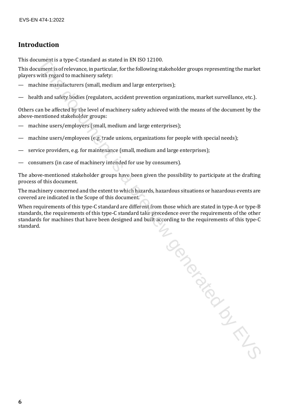### **Introduction**

This document is a type-C standard as stated in EN ISO 12100.

This document is of relevance, in particular, for the following stakeholder groups representing the market players with regard to machinery safety:

- machine manufacturers (small, medium and large enterprises);
- health and safety bodies (regulators, accident prevention organizations, market surveillance, etc.).

Others can be affected by the level of machinery safety achieved with the means of the document by the above-mentioned stakeholder groups:

- machine users/employers (small, medium and large enterprises);
- machine users/employees (e.g. trade unions, organizations for people with special needs);
- service providers, e.g. for maintenance (small, medium and large enterprises);
- consumers (in case of machinery intended for use by consumers).

The above-mentioned stakeholder groups have been given the possibility to participate at the drafting process of this document.

The machinery concerned and the extent to which hazards, hazardous situations or hazardous events are covered are indicated in the Scope of this document.

When requirements of this type-C standard are different from those which are stated in type-A or type-B standards, the requirements of this type-C standard take precedence over the requirements of the other standards for machines that have been designed and built according to the requirements of this type-C standard.

Tompared is a previous con-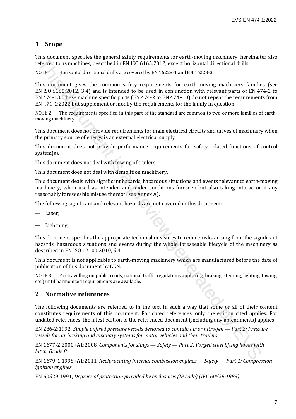### **1 Scope**

This document specifies the general safety requirements for earth-moving machinery, hereinafter also referred to as machines, described in EN ISO 6165:2012, except horizontal directional drills.

NOTE 1 Horizontal directional drills are covered by EN 16228-1 and EN 16228-3.

This document gives the common safety requirements for earth-moving machinery families (see EN ISO 6165:2012, 3.4) and is intended to be used in conjunction with relevant parts of EN 474-2 to EN 474-13. These machine specific parts (EN 474-2 to EN 474−13) do not repeat the requirements from EN 474-1:2022 but supplement or modify the requirements for the family in question. Its occurrent spectrus the generate since the technical since of the red interaction of the red in the section of the red in the red in the red in the red in the red in the red in the red in the red in the red in the red

NOTE 2 The requirements specified in this part of the standard are common to two or more families of earthmoving machinery.

This document does not provide requirements for main electrical circuits and drives of machinery when the primary source of energy is an external electrical supply.

This document does not provide performance requirements for safety related functions of control system(s).

This document does not deal with towing of trailers.

This document does not deal with demolition machinery.

This document deals with significant hazards, hazardous situations and events relevant to earth-moving machinery, when used as intended and under conditions foreseen but also taking into account any reasonably foreseeable misuse thereof (see Annex A).

The following significant and relevant hazards are not covered in this document:

- Laser;
- Lightning.

This document specifies the appropriate technical measures to reduce risks arising from the significant hazards, hazardous situations and events during the whole foreseeable lifecycle of the machinery as described in EN ISO 12100:2010, 5.4.

This document is not applicable to earth-moving machinery which are manufactured before the date of publication of this document by CEN.

NOTE 3 For travelling on public roads, national traffic regulations apply (e.g. braking, steering, lighting, towing, etc.) until harmonized requirements are available.

### **2 Normative references**

The following documents are referred to in the text in such a way that some or all of their content constitutes requirements of this document. For dated references, only the edition cited applies. For undated references, the latest edition of the referenced document (including any amendments) applies.

EN 286-2:1992, *Simple unfired pressure vessels designed to contain air or nitrogen — Part 2: Pressure vessels for air braking and auxiliary systems for motor vehicles and their trailers*

EN 1677-2:2000+A1:2008, *Components for slings — Safety — Part 2: Forged steel lifting hooks with latch, Grade 8*

EN 1679-1:1998+A1:2011, *Reciprocating internal combustion engines — Safety — Part 1: Compression ignition engines*

EN 60529:1991, *Degrees of protection provided by enclosures (IP code) (IEC 60529:1989)*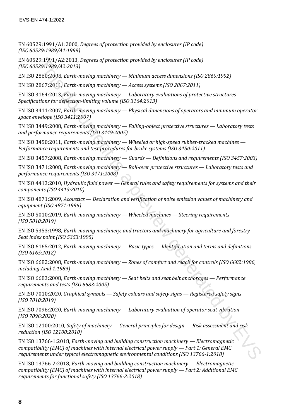EN 60529:1991/A1:2000, *Degrees of protection provided by enclosures (IP code) (IEC 60529:1989/A1:1999)*

EN 60529:1991/A2:2013, *Degrees of protection provided by enclosures (IP code) (IEC 60529:1989/A2:2013)*

EN ISO 2860:2008, *Earth-moving machinery — Minimum access dimensions (ISO 2860:1992)*

EN ISO 2867:2011, *Earth-moving machinery — Access systems (ISO 2867:2011)*

EN ISO 3164:2013, *Earth-moving machinery — Laboratory evaluations of protective structures — Specifications for deflection-limiting volume (ISO 3164:2013)*

EN ISO 3411:2007, *Earth-moving machinery — Physical dimensions of operators and minimum operator space envelope (ISO 3411:2007)*

EN ISO 3449:2008, *Earth-moving machinery — Falling-object protective structures — Laboratory tests and performance requirements (ISO 3449:2005)*

EN ISO 3450:2011, *Earth-moving machinery — Wheeled or high-speed rubber-tracked machines — Performance requirements and test procedures for brake systems (ISO 3450:2011)*

EN ISO 3457:2008, *Earth-moving machinery — Guards — Definitions and requirements (ISO 3457:2003)*

EN ISO 3471:2008, *Earth-moving machinery — Roll-over protective structures — Laboratory tests and performance requirements (ISO 3471:2008)*

EN ISO 4413:2010, *Hydraulic fluid power — General rules and safety requirements for systems and their components (ISO 4413:2010)*

EN ISO 4871:2009, *Acoustics — Declaration and verification of noise emission values of machinery and equipment (ISO 4871:1996)*

EN ISO 5010:2019, *Earth-moving machinery — Wheeled machines — Steering requirements (ISO 5010:2019)*

EN ISO 5353:1998, *Earth-moving machinery, and tractors and machinery for agriculture and forestry — Seat index point (ISO 5353:1995)*

EN ISO 6165:2012, *Earth-moving machinery — Basic types — Identification and terms and definitions (ISO 6165:2012)*

EN ISO 6682:2008, *Earth-moving machinery — Zones of comfort and reach for controls (ISO 6682:1986, including Amd 1:1989)*

EN ISO 6683:2008, *Earth-moving machinery — Seat belts and seat belt anchorages — Performance requirements and tests (ISO 6683:2005)*

EN ISO 7010:2020, *Graphical symbols — Safety colours and safety signs — Registered safety signs (ISO 7010:2019)*

EN ISO 7096:2020, *Earth-moving machinery — Laboratory evaluation of operator seat vibration (ISO 7096:2020)*

EN ISO 12100:2010, *Safety of machinery — General principles for design — Risk assessment and risk reduction (ISO 12100:2010)*

EN ISO 13766-1:2018, *Earth-moving and building construction machinery — Electromagnetic compatibility (EMC) of machines with internal electrical power supply — Part 1: General EMC requirements under typical electromagnetic environmental conditions (ISO 13766-1:2018)*  $^{19}$ :1911/A22013, Degrees of protection provided by enclosures (IP code)<br>2017/09/A22013, Degrees of protection provided by enclosures (ISO 2800-1992)<br>2017/09/A22013). Earth-moving machinery — Minimum access dimensions (

EN ISO 13766-2:2018, *Earth-moving and building construction machinery — Electromagnetic compatibility (EMC) of machines with internal electrical power supply — Part 2: Additional EMC requirements for functional safety (ISO 13766-2:2018)*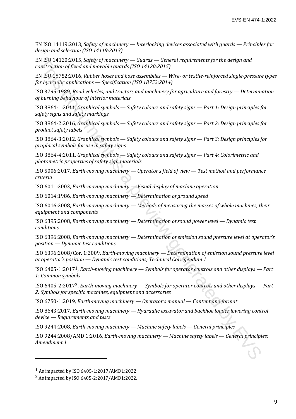EN ISO 14119:2013, *Safety of machinery — Interlocking devices associated with guards — Principles for design and selection (ISO 14119:2013)*

EN ISO 14120:2015, *Safety of machinery — Guards — General requirements for the design and construction of fixed and movable guards (ISO 14120:2015)*

EN ISO 18752:2016, *Rubber hoses and hose assemblies — Wire- or textile-reinforced single-pressure types for hydraulic applications — Specification (ISO 18752:2014)* Ni SO 141202-2115. Sufce of muchinery — *Guaral* a — Generate chemic is a preview generation of the design and<br>notice of these and movable guaral (SO 14120-2015)<br>This Documentation of the data movable guaral (SO 14120-201

ISO 3795:1989, *Road vehicles, and tractors and machinery for agriculture and forestry — Determination of burning behaviour of interior materials*

ISO 3864-1:2011, *Graphical symbols — Safety colours and safety signs — Part 1: Design principles for safety signs and safety markings*

ISO 3864-2:2016, *Graphical symbols — Safety colours and safety signs — Part 2: Design principles for product safety labels*

ISO 3864-3:2012, *Graphical symbols — Safety colours and safety signs — Part 3: Design principles for graphical symbols for use in safety signs*

ISO 3864-4:2011, *Graphical symbols — Safety colours and safety signs — Part 4: Colorimetric and photometric properties of safety sign materials*

ISO 5006:2017, *Earth-moving machinery — Operator's field of view — Test method and performance criteria*

ISO 6011:2003, *Earth-moving machinery — Visual display of machine operation*

ISO 6014:1986, *Earth-moving machinery — Determination of ground speed*

ISO 6016:2008, *Earth-moving machinery — Methods of measuring the masses of whole machines, their equipment and components*

ISO 6395:2008, *Earth-moving machinery — Determination of sound power level — Dynamic test conditions*

ISO 6396:2008, *Earth-moving machinery — Determination of emission sound pressure level at operator's position — Dynamic test conditions*

ISO 6396:2008/Cor. 1:2009, *Earth-moving machinery — Determination of emission sound pressure level at operator's position — Dynamic test conditions; Technical Corrigendum 1*

ISO 6405-1:20171, *Earth-moving machinery — Symbols for operator controls and other displays — Part 1: Common symbols*

ISO 6405-2:20172, *Earth-moving machinery — Symbols for operator controls and other displays — Part 2: Symbols for specific machines, equipment and accessories*

ISO 6750-1:2019, *Earth-moving machinery — Operator's manual — Content and format*

ISO 8643:2017, *Earth-moving machinery — Hydraulic excavator and backhoe loader lowering control device — Requirements and tests*

ISO 9244:2008, *Earth-moving machinery — Machine safety labels — General principles*

ISO 9244:2008/AMD 1:2016, *Earth-moving machinery — Machine safety labels — General principles; Amendment 1*

I

<sup>1</sup> As impacted by ISO 6405-1:2017/AMD1:2022.

<sup>2</sup> As impacted by ISO 6405-2:2017/AMD1:2022.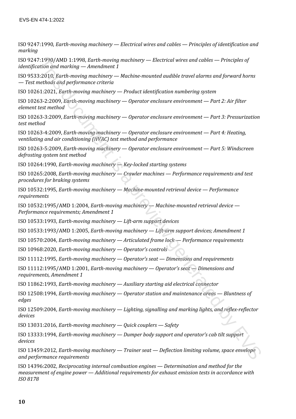ISO 9247:1990, *Earth-moving machinery — Electrical wires and cables — Principles of identification and marking*

ISO 9247:1990/AMD 1:1998, *Earth-moving machinery — Electrical wires and cables — Principles of identification and marking — Amendment 1*

ISO 9533:2010, *Earth-moving machinery — Machine-mounted audible travel alarms and forward horns — Test methods and performance criteria*

ISO 10261:2021, *Earth-moving machinery — Product identification numbering system*

ISO 10263-2:2009, *Earth-moving machinery — Operator enclosure environment — Part 2: Air filter element test method*

ISO 10263-3:2009, *Earth-moving machinery — Operator enclosure environment — Part 3: Pressurization test method*

ISO 10263-4:2009, *Earth-moving machinery — Operator enclosure environment — Part 4: Heating, ventilating and air conditioning (HVAC) test method and performance*

ISO 10263-5:2009, *Earth-moving machinery — Operator enclosure environment — Part 5: Windscreen defrosting system test method*

ISO 10264:1990, *Earth-moving machinery — Key-locked starting systems*

ISO 10265:2008, *Earth-moving machinery — Crawler machines — Performance requirements and test procedures for braking systems*

ISO 10532:1995, *Earth-moving machinery — Machine-mounted retrieval device — Performance requirements*

ISO 10532:1995/AMD 1:2004, *Earth-moving machinery — Machine-mounted retrieval device — Performance requirements; Amendment 1*

ISO 10533:1993, *Earth-moving machinery — Lift-arm support devices*

ISO 10533:1993/AMD 1:2005, *Earth-moving machinery — Lift-arm support devices; Amendment 1*

ISO 10570:2004, *Earth-moving machinery — Articulated frame lock — Performance requirements*

ISO 10968:2020, *Earth-moving machinery — Operator's controls*

ISO 11112:1995, *Earth-moving machinery — Operator's seat — Dimensions and requirements*

ISO 11112:1995/AMD 1:2001, *Earth-moving machinery — Operator's seat — Dimensions and requirements, Amendment 1*

ISO 11862:1993, *Earth-moving machinery — Auxiliary starting aid electrical connector*

ISO 12508:1994, *Earth-moving machinery — Operator station and maintenance areas — Bluntness of edges*

ISO 12509:2004, *Earth-moving machinery — Lighting, signalling and marking lights, and reflex-reflector devices* 7:1990 / AMD 1:1998, izerth-moving machinery — Electrical wires and cubies — Principles of<br>
7:1990/AMD 1:1998, izerth-moving machinery — Machine-mounted oudlibe travel alarms and forward horns<br>
as 30:00, Earth-moving machi

ISO 13031:2016, *Earth-moving machinery — Quick couplers — Safety*

ISO 13333:1994, *Earth-moving machinery — Dumper body support and operator's cab tilt support devices*

ISO 13459:2012, *Earth-moving machinery — Trainer seat — Deflection limiting volume, space envelope and performance requirements*

ISO 14396:2002, *Reciprocating internal combustion engines — Determination and method for the measurement of engine power — Additional requirements for exhaust emission tests in accordance with ISO 8178*